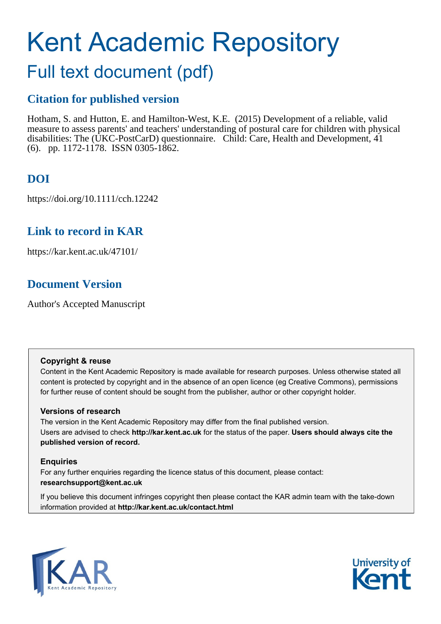# Kent Academic Repository

## Full text document (pdf)

### **Citation for published version**

Hotham, S. and Hutton, E. and Hamilton-West, K.E. (2015) Development of a reliable, valid measure to assess parents' and teachers' understanding of postural care for children with physical disabilities: The (UKC-PostCarD) questionnaire. Child: Care, Health and Development, 41 (6). pp. 1172-1178. ISSN 0305-1862.

## **DOI**

https://doi.org/10.1111/cch.12242

## **Link to record in KAR**

https://kar.kent.ac.uk/47101/

## **Document Version**

Author's Accepted Manuscript

#### **Copyright & reuse**

Content in the Kent Academic Repository is made available for research purposes. Unless otherwise stated all content is protected by copyright and in the absence of an open licence (eg Creative Commons), permissions for further reuse of content should be sought from the publisher, author or other copyright holder.

#### **Versions of research**

The version in the Kent Academic Repository may differ from the final published version. Users are advised to check **http://kar.kent.ac.uk** for the status of the paper. **Users should always cite the published version of record.**

#### **Enquiries**

For any further enquiries regarding the licence status of this document, please contact: **researchsupport@kent.ac.uk**

If you believe this document infringes copyright then please contact the KAR admin team with the take-down information provided at **http://kar.kent.ac.uk/contact.html**



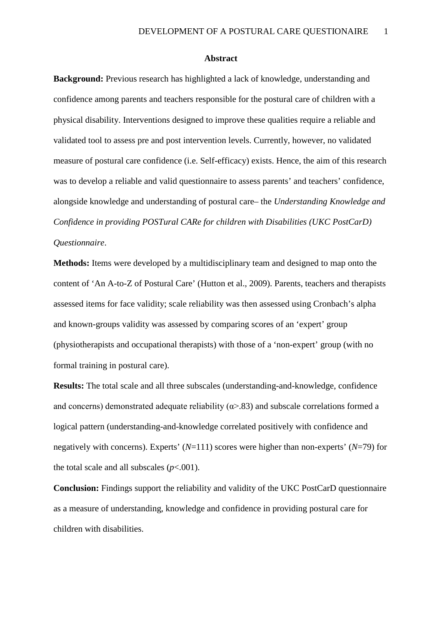#### **Abstract**

**Background:** Previous research has highlighted a lack of knowledge, understanding and confidence among parents and teachers responsible for the postural care of children with a physical disability. Interventions designed to improve these qualities require a reliable and validated tool to assess pre and post intervention levels. Currently, however, no validated measure of postural care confidence (i.e. Self-efficacy) exists. Hence, the aim of this research was to develop a reliable and valid questionnaire to assess parents' and teachers' confidence, alongside knowledge and understanding of postural care– the *Understanding Knowledge and Confidence in providing POSTural CARe for children with Disabilities (UKC PostCarD) Questionnaire*.

**Methods:** Items were developed by a multidisciplinary team and designed to map onto the content of 'An A-to-Z of Postural Care' (Hutton et al., 2009). Parents, teachers and therapists assessed items for face validity; scale reliability was then assessed using Cronbach's alpha and known-groups validity was assessed by comparing scores of an 'expert' group (physiotherapists and occupational therapists) with those of a 'non-expert' group (with no formal training in postural care).

**Results:** The total scale and all three subscales (understanding-and-knowledge, confidence and concerns) demonstrated adequate reliability ( $\alpha$ >.83) and subscale correlations formed a logical pattern (understanding-and-knowledge correlated positively with confidence and negatively with concerns). Experts' (*N*=111) scores were higher than non-experts' (*N*=79) for the total scale and all subscales  $(p<.001)$ .

**Conclusion:** Findings support the reliability and validity of the UKC PostCarD questionnaire as a measure of understanding, knowledge and confidence in providing postural care for children with disabilities.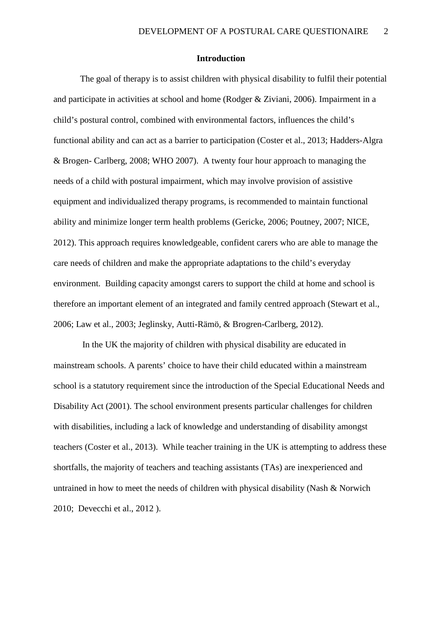#### **Introduction**

The goal of therapy is to assist children with physical disability to fulfil their potential and participate in activities at school and home (Rodger & Ziviani, 2006). Impairment in a child's postural control, combined with environmental factors, influences the child's functional ability and can act as a barrier to participation (Coster et al., 2013; Hadders-Algra & Brogen- Carlberg, 2008; WHO 2007). A twenty four hour approach to managing the needs of a child with postural impairment, which may involve provision of assistive equipment and individualized therapy programs, is recommended to maintain functional ability and minimize longer term health problems (Gericke, 2006; Poutney, 2007; NICE, 2012). This approach requires knowledgeable, confident carers who are able to manage the care needs of children and make the appropriate adaptations to the child's everyday environment. Building capacity amongst carers to support the child at home and school is therefore an important element of an integrated and family centred approach (Stewart et al., 2006; Law et al., 2003; Jeglinsky, Autti-Rämö, & Brogren-Carlberg, 2012).

In the UK the majority of children with physical disability are educated in mainstream schools. A parents' choice to have their child educated within a mainstream school is a statutory requirement since the introduction of the Special Educational Needs and Disability Act (2001). The school environment presents particular challenges for children with disabilities, including a lack of knowledge and understanding of disability amongst teachers (Coster et al., 2013). While teacher training in the UK is attempting to address these shortfalls, the majority of teachers and teaching assistants (TAs) are inexperienced and untrained in how to meet the needs of children with physical disability (Nash & Norwich 2010; Devecchi et al., 2012 ).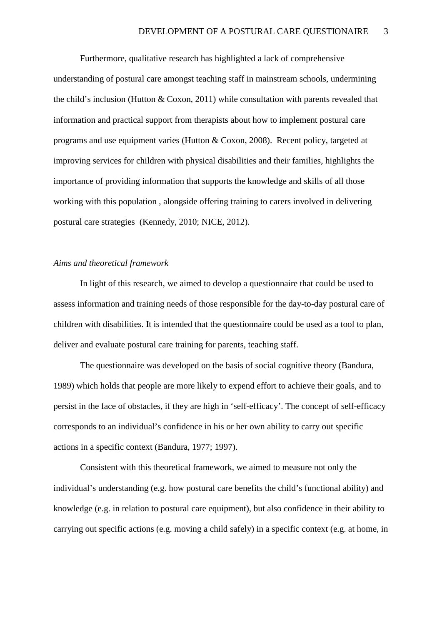Furthermore, qualitative research has highlighted a lack of comprehensive understanding of postural care amongst teaching staff in mainstream schools, undermining the child's inclusion (Hutton & Coxon, 2011) while consultation with parents revealed that information and practical support from therapists about how to implement postural care programs and use equipment varies (Hutton & Coxon, 2008). Recent policy, targeted at improving services for children with physical disabilities and their families, highlights the importance of providing information that supports the knowledge and skills of all those working with this population , alongside offering training to carers involved in delivering postural care strategies (Kennedy, 2010; NICE, 2012).

#### *Aims and theoretical framework*

In light of this research, we aimed to develop a questionnaire that could be used to assess information and training needs of those responsible for the day-to-day postural care of children with disabilities. It is intended that the questionnaire could be used as a tool to plan, deliver and evaluate postural care training for parents, teaching staff.

The questionnaire was developed on the basis of social cognitive theory (Bandura, 1989) which holds that people are more likely to expend effort to achieve their goals, and to persist in the face of obstacles, if they are high in 'self-efficacy'. The concept of self-efficacy corresponds to an individual's confidence in his or her own ability to carry out specific actions in a specific context (Bandura, 1977; 1997).

Consistent with this theoretical framework, we aimed to measure not only the individual's understanding (e.g. how postural care benefits the child's functional ability) and knowledge (e.g. in relation to postural care equipment), but also confidence in their ability to carrying out specific actions (e.g. moving a child safely) in a specific context (e.g. at home, in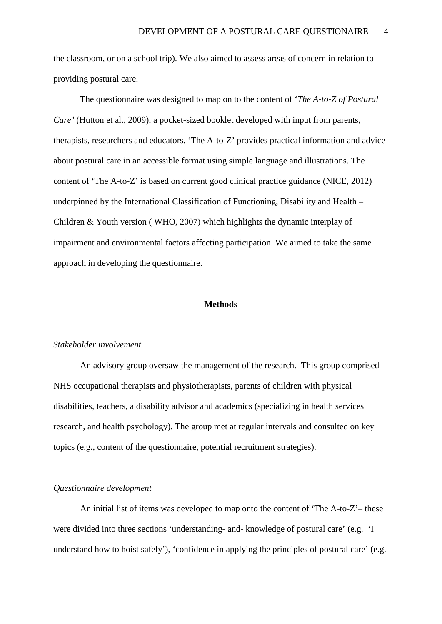the classroom, or on a school trip). We also aimed to assess areas of concern in relation to providing postural care.

The questionnaire was designed to map on to the content of '*The A-to-Z of Postural Care'* (Hutton et al., 2009), a pocket-sized booklet developed with input from parents, therapists, researchers and educators. 'The A-to-Z' provides practical information and advice about postural care in an accessible format using simple language and illustrations. The content of 'The A-to-Z' is based on current good clinical practice guidance (NICE, 2012) underpinned by the International Classification of Functioning, Disability and Health – Children & Youth version ( WHO, 2007) which highlights the dynamic interplay of impairment and environmental factors affecting participation. We aimed to take the same approach in developing the questionnaire.

#### **Methods**

#### *Stakeholder involvement*

An advisory group oversaw the management of the research. This group comprised NHS occupational therapists and physiotherapists, parents of children with physical disabilities, teachers, a disability advisor and academics (specializing in health services research, and health psychology). The group met at regular intervals and consulted on key topics (e.g., content of the questionnaire, potential recruitment strategies).

#### *Questionnaire development*

An initial list of items was developed to map onto the content of 'The A-to-Z'– these were divided into three sections 'understanding- and- knowledge of postural care' (e.g. 'I understand how to hoist safely'), 'confidence in applying the principles of postural care' (e.g.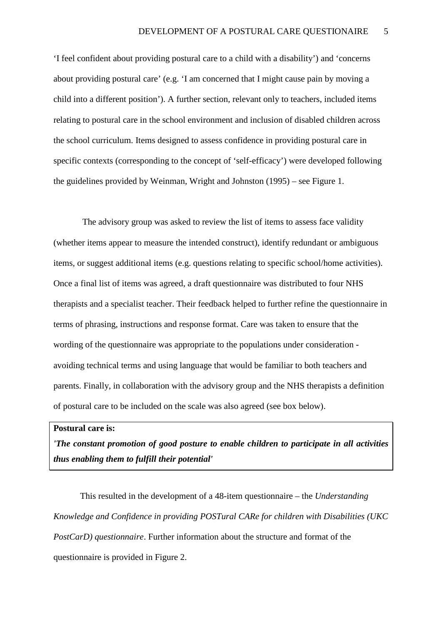'I feel confident about providing postural care to a child with a disability') and 'concerns about providing postural care' (e.g. 'I am concerned that I might cause pain by moving a child into a different position'). A further section, relevant only to teachers, included items relating to postural care in the school environment and inclusion of disabled children across the school curriculum. Items designed to assess confidence in providing postural care in specific contexts (corresponding to the concept of 'self-efficacy') were developed following the guidelines provided by Weinman, Wright and Johnston (1995) – see Figure 1.

The advisory group was asked to review the list of items to assess face validity (whether items appear to measure the intended construct), identify redundant or ambiguous items, or suggest additional items (e.g. questions relating to specific school/home activities). Once a final list of items was agreed, a draft questionnaire was distributed to four NHS therapists and a specialist teacher. Their feedback helped to further refine the questionnaire in terms of phrasing, instructions and response format. Care was taken to ensure that the wording of the questionnaire was appropriate to the populations under consideration avoiding technical terms and using language that would be familiar to both teachers and parents. Finally, in collaboration with the advisory group and the NHS therapists a definition of postural care to be included on the scale was also agreed (see box below).

#### **Postural care is:**

*'The constant promotion of good posture to enable children to participate in all activities thus enabling them to fulfill their potential'* 

This resulted in the development of a 48-item questionnaire – the *Understanding Knowledge and Confidence in providing POSTural CARe for children with Disabilities (UKC PostCarD) questionnaire*. Further information about the structure and format of the questionnaire is provided in Figure 2.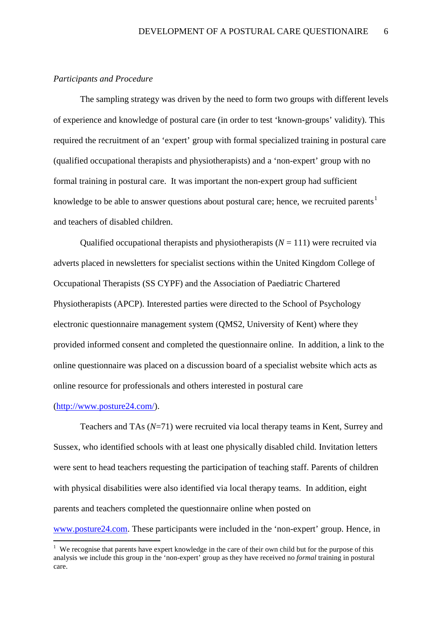#### *Participants and Procedure*

The sampling strategy was driven by the need to form two groups with different levels of experience and knowledge of postural care (in order to test 'known-groups' validity). This required the recruitment of an 'expert' group with formal specialized training in postural care (qualified occupational therapists and physiotherapists) and a 'non-expert' group with no formal training in postural care. It was important the non-expert group had sufficient knowledge to be able to answer questions about postural care; hence, we recruited parents<sup>[1](#page--1-0)</sup> and teachers of disabled children.

Qualified occupational therapists and physiotherapists  $(N = 111)$  were recruited via adverts placed in newsletters for specialist sections within the United Kingdom College of Occupational Therapists (SS CYPF) and the Association of Paediatric Chartered Physiotherapists (APCP). Interested parties were directed to the School of Psychology electronic questionnaire management system (QMS2, University of Kent) where they provided informed consent and completed the questionnaire online. In addition, a link to the online questionnaire was placed on a discussion board of a specialist website which acts as online resource for professionals and others interested in postural care

#### [\(http://www.posture24.com/\)](http://www.posture24.com/).

.

Teachers and TAs (*N*=71) were recruited via local therapy teams in Kent, Surrey and Sussex, who identified schools with at least one physically disabled child. Invitation letters were sent to head teachers requesting the participation of teaching staff. Parents of children with physical disabilities were also identified via local therapy teams. In addition, eight parents and teachers completed the questionnaire online when posted on [www.posture24.com.](http://www.posture24.com/) These participants were included in the 'non-expert' group. Hence*,* in

<sup>&</sup>lt;sup>1</sup> We recognise that parents have expert knowledge in the care of their own child but for the purpose of this analysis we include this group in the 'non-expert' group as they have received no *formal* training in postural care.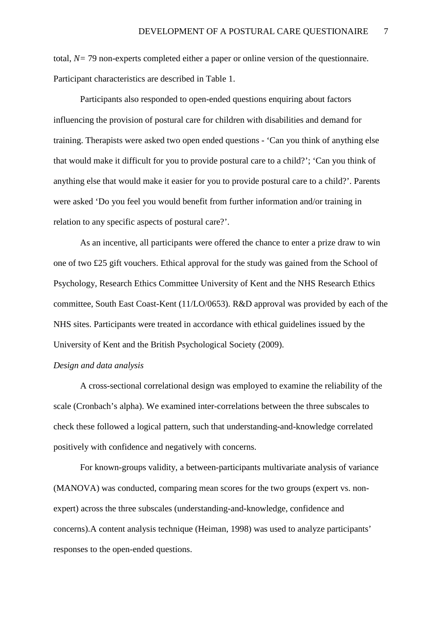total, *N=* 79 non-experts completed either a paper or online version of the questionnaire. Participant characteristics are described in Table 1.

Participants also responded to open-ended questions enquiring about factors influencing the provision of postural care for children with disabilities and demand for training. Therapists were asked two open ended questions - 'Can you think of anything else that would make it difficult for you to provide postural care to a child?'; 'Can you think of anything else that would make it easier for you to provide postural care to a child?'. Parents were asked 'Do you feel you would benefit from further information and/or training in relation to any specific aspects of postural care?'.

As an incentive, all participants were offered the chance to enter a prize draw to win one of two £25 gift vouchers. Ethical approval for the study was gained from the School of Psychology, Research Ethics Committee University of Kent and the NHS Research Ethics committee, South East Coast-Kent (11/LO/0653). R&D approval was provided by each of the NHS sites. Participants were treated in accordance with ethical guidelines issued by the University of Kent and the British Psychological Society (2009).

#### *Design and data analysis*

A cross-sectional correlational design was employed to examine the reliability of the scale (Cronbach's alpha). We examined inter-correlations between the three subscales to check these followed a logical pattern, such that understanding-and-knowledge correlated positively with confidence and negatively with concerns.

For known-groups validity, a between-participants multivariate analysis of variance (MANOVA) was conducted, comparing mean scores for the two groups (expert vs. nonexpert) across the three subscales (understanding-and-knowledge, confidence and concerns).A content analysis technique (Heiman, 1998) was used to analyze participants' responses to the open-ended questions.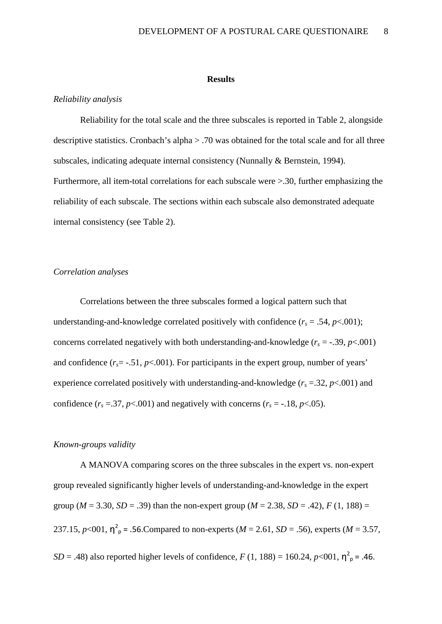#### **Results**

#### *Reliability analysis*

Reliability for the total scale and the three subscales is reported in Table 2, alongside descriptive statistics. Cronbach's alpha > .70 was obtained for the total scale and for all three subscales, indicating adequate internal consistency (Nunnally & Bernstein, 1994). Furthermore, all item-total correlations for each subscale were >.30, further emphasizing the reliability of each subscale. The sections within each subscale also demonstrated adequate internal consistency (see Table 2).

#### *Correlation analyses*

Correlations between the three subscales formed a logical pattern such that understanding-and-knowledge correlated positively with confidence  $(r_s = .54, p < .001)$ ; concerns correlated negatively with both understanding-and-knowledge  $(r_s = -.39, p < .001)$ and confidence  $(r_s = -.51, p < .001)$ . For participants in the expert group, number of years' experience correlated positively with understanding-and-knowledge  $(r_s = 0.32, p < 0.001)$  and confidence  $(r_s = .37, p < .001)$  and negatively with concerns  $(r_s = -.18, p < .05)$ .

#### *Known-groups validity*

A MANOVA comparing scores on the three subscales in the expert vs. non-expert group revealed significantly higher levels of understanding-and-knowledge in the expert group ( $M = 3.30$ ,  $SD = .39$ ) than the non-expert group ( $M = 2.38$ ,  $SD = .42$ ),  $F(1, 188) =$ 237.15,  $p<001$ ,  $n^2$ <sub>p</sub> = .56.Compared to non-experts (*M* = 2.61, *SD* = .56), experts (*M* = 3.57, *SD* = .48) also reported higher levels of confidence, *F* (1, 188) = 160.24, *p*<001,  $n_p^2$  = .46.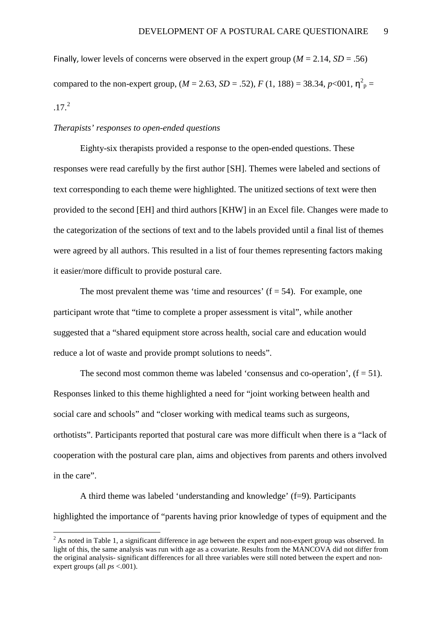Finally, lower levels of concerns were observed in the expert group ( $M = 2.14$ ,  $SD = .56$ ) compared to the non-expert group,  $(M = 2.63, SD = .52)$ ,  $F(1, 188) = 38.34, p < 001$ ,  $n_p^2 =$  $.17.<sup>2</sup>$  $.17.<sup>2</sup>$  $.17.<sup>2</sup>$ 

#### *Therapists' responses to open-ended questions*

.

Eighty-six therapists provided a response to the open-ended questions. These responses were read carefully by the first author [SH]. Themes were labeled and sections of text corresponding to each theme were highlighted. The unitized sections of text were then provided to the second [EH] and third authors [KHW] in an Excel file. Changes were made to the categorization of the sections of text and to the labels provided until a final list of themes were agreed by all authors. This resulted in a list of four themes representing factors making it easier/more difficult to provide postural care.

The most prevalent theme was 'time and resources'  $(f = 54)$ . For example, one participant wrote that "time to complete a proper assessment is vital", while another suggested that a "shared equipment store across health, social care and education would reduce a lot of waste and provide prompt solutions to needs".

The second most common theme was labeled 'consensus and co-operation',  $(f = 51)$ . Responses linked to this theme highlighted a need for "joint working between health and social care and schools" and "closer working with medical teams such as surgeons, orthotists". Participants reported that postural care was more difficult when there is a "lack of cooperation with the postural care plan, aims and objectives from parents and others involved in the care".

A third theme was labeled 'understanding and knowledge' (f=9). Participants highlighted the importance of "parents having prior knowledge of types of equipment and the

 $2$  As noted in Table 1, a significant difference in age between the expert and non-expert group was observed. In light of this, the same analysis was run with age as a covariate. Results from the MANCOVA did not differ from the original analysis- significant differences for all three variables were still noted between the expert and nonexpert groups (all *ps* <.001).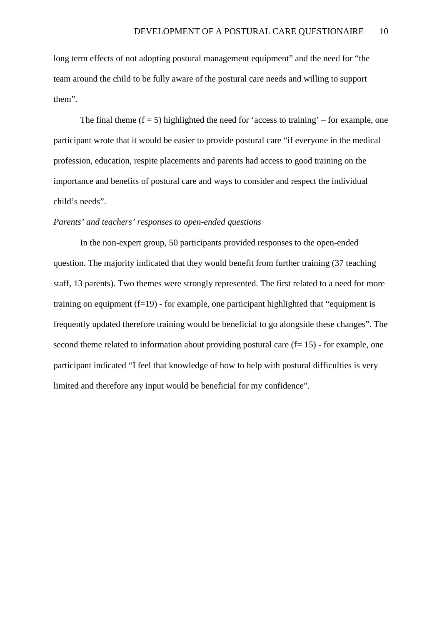long term effects of not adopting postural management equipment" and the need for "the team around the child to be fully aware of the postural care needs and willing to support them".

The final theme  $(f = 5)$  highlighted the need for 'access to training' – for example, one participant wrote that it would be easier to provide postural care "if everyone in the medical profession, education, respite placements and parents had access to good training on the importance and benefits of postural care and ways to consider and respect the individual child's needs".

#### *Parents' and teachers' responses to open-ended questions*

In the non-expert group, 50 participants provided responses to the open-ended question. The majority indicated that they would benefit from further training (37 teaching staff, 13 parents). Two themes were strongly represented. The first related to a need for more training on equipment  $(f=19)$  - for example, one participant highlighted that "equipment is frequently updated therefore training would be beneficial to go alongside these changes". The second theme related to information about providing postural care  $(f= 15)$  - for example, one participant indicated "I feel that knowledge of how to help with postural difficulties is very limited and therefore any input would be beneficial for my confidence".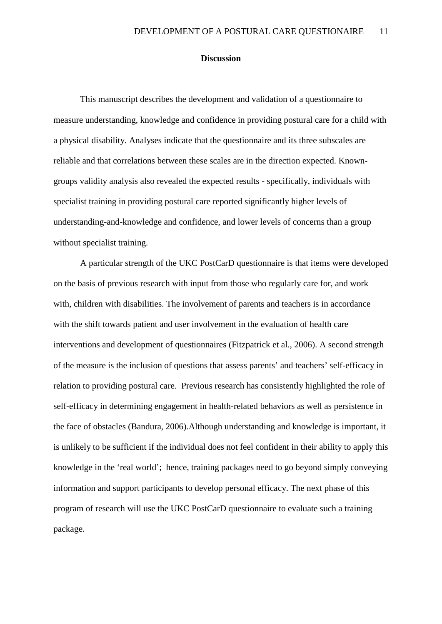#### **Discussion**

This manuscript describes the development and validation of a questionnaire to measure understanding, knowledge and confidence in providing postural care for a child with a physical disability. Analyses indicate that the questionnaire and its three subscales are reliable and that correlations between these scales are in the direction expected. Knowngroups validity analysis also revealed the expected results - specifically, individuals with specialist training in providing postural care reported significantly higher levels of understanding-and-knowledge and confidence, and lower levels of concerns than a group without specialist training.

A particular strength of the UKC PostCarD questionnaire is that items were developed on the basis of previous research with input from those who regularly care for, and work with, children with disabilities. The involvement of parents and teachers is in accordance with the shift towards patient and user involvement in the evaluation of health care interventions and development of questionnaires (Fitzpatrick et al., 2006). A second strength of the measure is the inclusion of questions that assess parents' and teachers' self-efficacy in relation to providing postural care. Previous research has consistently highlighted the role of self-efficacy in determining engagement in health-related behaviors as well as persistence in the face of obstacles (Bandura, 2006).Although understanding and knowledge is important, it is unlikely to be sufficient if the individual does not feel confident in their ability to apply this knowledge in the 'real world'; hence, training packages need to go beyond simply conveying information and support participants to develop personal efficacy. The next phase of this program of research will use the UKC PostCarD questionnaire to evaluate such a training package.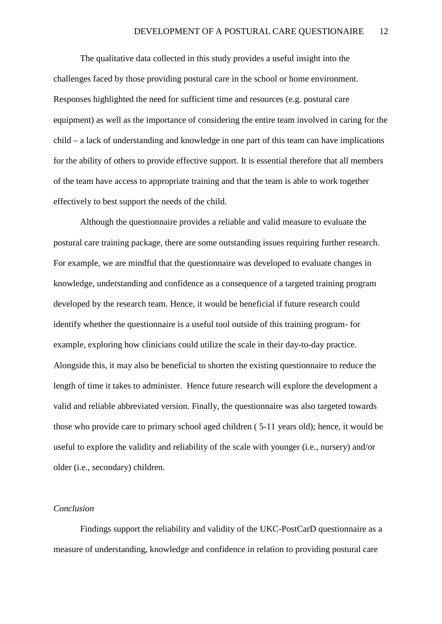The qualitative data collected in this study provides a useful insight into the challenges faced by those providing postural care in the school or home environment. Responses highlighted the need for sufficient time and resources (e.g. postural care equipment) as well as the importance of considering the entire team involved in caring for the child – a lack of understanding and knowledge in one part of this team can have implications for the ability of others to provide effective support. It is essential therefore that all members of the team have access to appropriate training and that the team is able to work together effectively to best support the needs of the child.

 Although the questionnaire provides a reliable and valid measure to evaluate the postural care training package, there are some outstanding issues requiring further research. For example, we are mindful that the questionnaire was developed to evaluate changes in knowledge, understanding and confidence as a consequence of a targeted training program developed by the research team. Hence, it would be beneficial if future research could identify whether the questionnaire is a useful tool outside of this training program- for example, exploring how clinicians could utilize the scale in their day-to-day practice. Alongside this, it may also be beneficial to shorten the existing questionnaire to reduce the length of time it takes to administer. Hence future research will explore the development a valid and reliable abbreviated version. Finally, the questionnaire was also targeted towards those who provide care to primary school aged children ( 5-11 years old); hence, it would be useful to explore the validity and reliability of the scale with younger (i.e., nursery) and/or older (i.e., secondary) children.

#### *Conclusion*

Findings support the reliability and validity of the UKC-PostCarD questionnaire as a measure of understanding, knowledge and confidence in relation to providing postural care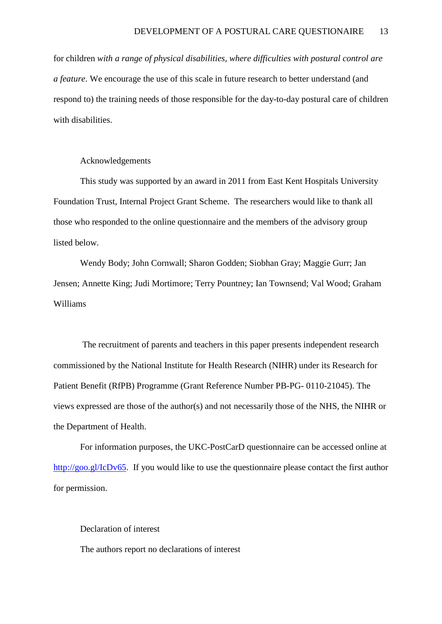for children *with a range of physical disabilities, where difficulties with postural control are a feature*. We encourage the use of this scale in future research to better understand (and respond to) the training needs of those responsible for the day-to-day postural care of children with disabilities.

#### Acknowledgements

This study was supported by an award in 2011 from East Kent Hospitals University Foundation Trust, Internal Project Grant Scheme. The researchers would like to thank all those who responded to the online questionnaire and the members of the advisory group listed below.

Wendy Body; John Cornwall; Sharon Godden; Siobhan Gray; Maggie Gurr; Jan Jensen; Annette King; Judi Mortimore; Terry Pountney; Ian Townsend; Val Wood; Graham Williams

 The recruitment of parents and teachers in this paper presents independent research commissioned by the National Institute for Health Research (NIHR) under its Research for Patient Benefit (RfPB) Programme (Grant Reference Number PB-PG- 0110-21045). The views expressed are those of the author(s) and not necessarily those of the NHS, the NIHR or the Department of Health.

For information purposes, the UKC-PostCarD questionnaire can be accessed online at [http://goo.gl/IcDv65.](http://goo.gl/IcDv65) If you would like to use the questionnaire please contact the first author for permission.

#### Declaration of interest

The authors report no declarations of interest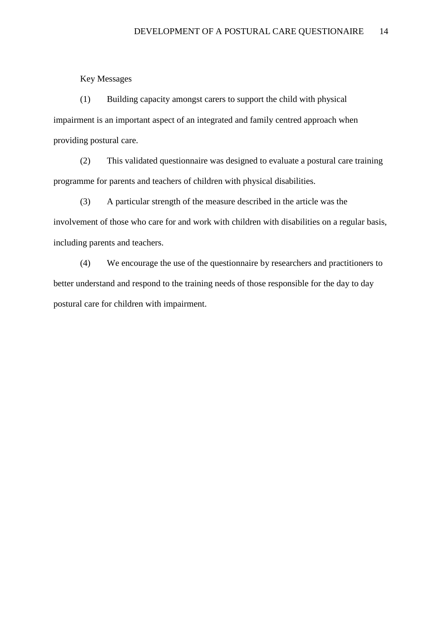Key Messages

(1) Building capacity amongst carers to support the child with physical impairment is an important aspect of an integrated and family centred approach when providing postural care.

(2) This validated questionnaire was designed to evaluate a postural care training programme for parents and teachers of children with physical disabilities.

(3) A particular strength of the measure described in the article was the involvement of those who care for and work with children with disabilities on a regular basis, including parents and teachers.

(4) We encourage the use of the questionnaire by researchers and practitioners to better understand and respond to the training needs of those responsible for the day to day postural care for children with impairment.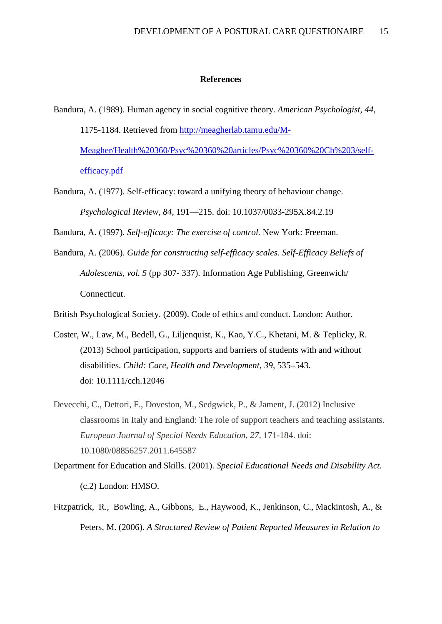#### **References**

- Bandura, A. (1989). Human agency in social cognitive theory. *American Psychologist, 44,* 1175-1184. Retrieved from [http://meagherlab.tamu.edu/M-](http://meagherlab.tamu.edu/M-Meagher/Health%20360/Psyc%20360%20articles/Psyc%20360%20Ch%203/self-efficacy.pdf)[Meagher/Health%20360/Psyc%20360%20articles/Psyc%20360%20Ch%203/self](http://meagherlab.tamu.edu/M-Meagher/Health%20360/Psyc%20360%20articles/Psyc%20360%20Ch%203/self-efficacy.pdf)[efficacy.pdf](http://meagherlab.tamu.edu/M-Meagher/Health%20360/Psyc%20360%20articles/Psyc%20360%20Ch%203/self-efficacy.pdf)
- Bandura, A. (1977). Self-efficacy: toward a unifying theory of behaviour change. *Psychological Review, 84,* 191—215. doi: 10.1037/0033-295X.84.2.19

Bandura, A. (1997). *Self-efficacy: The exercise of control.* New York: Freeman.

Bandura, A. (2006). *Guide for constructing self-efficacy scales. Self-Efficacy Beliefs of Adolescents, vol. 5* (pp 307- 337). Information Age Publishing, Greenwich/ Connecticut.

British Psychological Society. (2009). Code of ethics and conduct. London: Author.

- Coster, W., Law, M., Bedell, G., Liljenquist, K., Kao, Y.C., Khetani, M. & Teplicky, R. (2013) School participation, supports and barriers of students with and without disabilities. *Child: Care, Health and Development, 39,* 535–543. doi: 10.1111/cch.12046
- Devecchi, C., Dettori, F., Doveston, M., Sedgwick, P., & Jament, J. (2012) Inclusive classrooms in Italy and England: The role of support teachers and teaching assistants. *European Journal of Special Needs Education, 27,* 171-184. doi: 10.1080/08856257.2011.645587
- Department for Education and Skills. (2001). *Special Educational Needs and Disability Act.*  (c.2) London: HMSO.
- Fitzpatrick, R., Bowling, A., Gibbons, E., Haywood, K., Jenkinson, C., Mackintosh, A., & Peters, M. (2006). *A Structured Review of Patient Reported Measures in Relation to*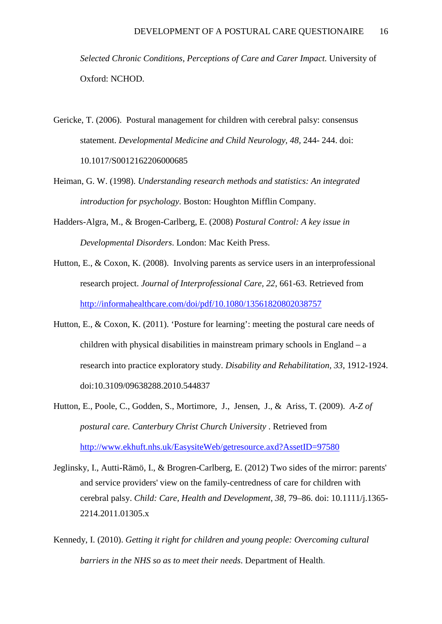*Selected Chronic Conditions, Perceptions of Care and Carer Impact.* University of Oxford: NCHOD.

- Gericke, T. (2006). Postural management for children with cerebral palsy: consensus statement. *Developmental Medicine and Child Neurology, 48,* 244- 244. doi: 10.1017/S0012162206000685
- Heiman, G. W. (1998). *Understanding research methods and statistics: An integrated introduction for psychology*. Boston: Houghton Mifflin Company.
- Hadders-Algra, M., & Brogen-Carlberg, E. (2008) *Postural Control: A key issue in Developmental Disorders*. London: Mac Keith Press.
- Hutton, E., & Coxon, K. (2008). Involving parents as service users in an interprofessional research project. *Journal of Interprofessional Care, 22*, 661-63. Retrieved from <http://informahealthcare.com/doi/pdf/10.1080/13561820802038757>
- Hutton, E., & Coxon, K. (2011). 'Posture for learning': meeting the postural care needs of children with physical disabilities in mainstream primary schools in England – a research into practice exploratory study. *Disability and Rehabilitation, 33*, 1912-1924. doi:10.3109/09638288.2010.544837
- Hutton, E., Poole, C., Godden, S., Mortimore, J., Jensen, J., & Ariss, T. (2009). *A-Z of postural care. Canterbury Christ Church University* . Retrieved from <http://www.ekhuft.nhs.uk/EasysiteWeb/getresource.axd?AssetID=97580>
- Jeglinsky, I., Autti-Rämö, I., & Brogren-Carlberg, E. (2012) Two sides of the mirror: parents' and service providers' view on the family-centredness of care for children with cerebral palsy. *Child: Care, Health and Development*, *38,* 79–86. doi: 10.1111/j.1365- 2214.2011.01305.x
- Kennedy, I. (2010). *Getting it right for children and young people: Overcoming cultural barriers in the NHS so as to meet their needs*. Department of Health.